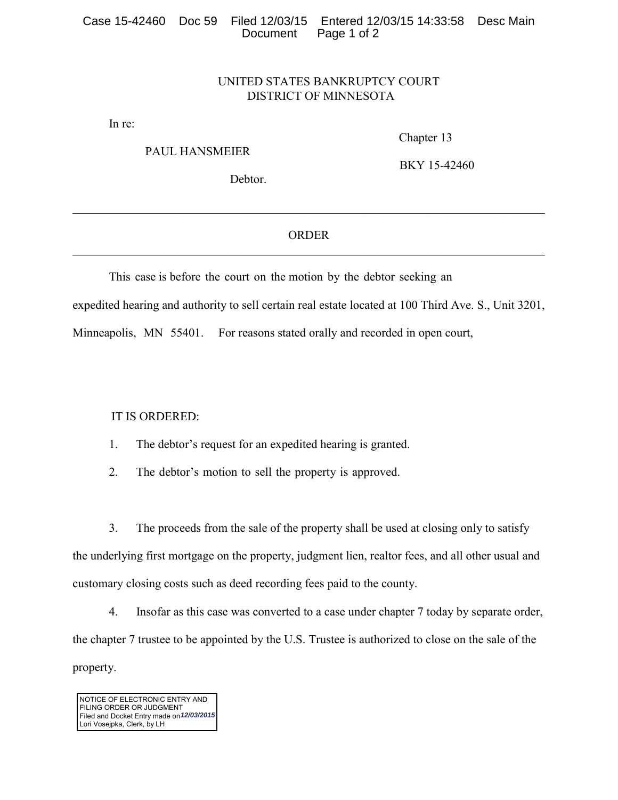## UNITED STATES BANKRUPTCY COURT DISTRICT OF MINNESOTA

In re:

PAUL HANSMEIER

Chapter 13

Debtor.

BKY 15-42460

\_\_\_\_\_\_\_\_\_\_\_\_\_\_\_\_\_\_\_\_\_\_\_\_\_\_\_\_\_\_\_\_\_\_\_\_\_\_\_\_\_\_\_\_\_\_\_\_\_\_\_\_\_\_\_\_\_\_\_\_\_\_\_\_\_\_\_\_\_\_\_\_\_\_\_\_\_\_

## ORDER \_\_\_\_\_\_\_\_\_\_\_\_\_\_\_\_\_\_\_\_\_\_\_\_\_\_\_\_\_\_\_\_\_\_\_\_\_\_\_\_\_\_\_\_\_\_\_\_\_\_\_\_\_\_\_\_\_\_\_\_\_\_\_\_\_\_\_\_\_\_\_\_\_\_\_\_\_\_

This case is before the court on the motion by the debtor seeking an expedited hearing and authority to sell certain real estate located at 100 Third Ave. S., Unit 3201, Minneapolis, MN 55401. For reasons stated orally and recorded in open court,

IT IS ORDERED:

- 1. The debtor's request for an expedited hearing is granted.
- 2. The debtor's motion to sell the property is approved.

3. The proceeds from the sale of the property shall be used at closing only to satisfy the underlying first mortgage on the property, judgment lien, realtor fees, and all other usual and customary closing costs such as deed recording fees paid to the county.

4. Insofar as this case was converted to a case under chapter 7 today by separate order, the chapter 7 trustee to be appointed by the U.S. Trustee is authorized to close on the sale of the property.